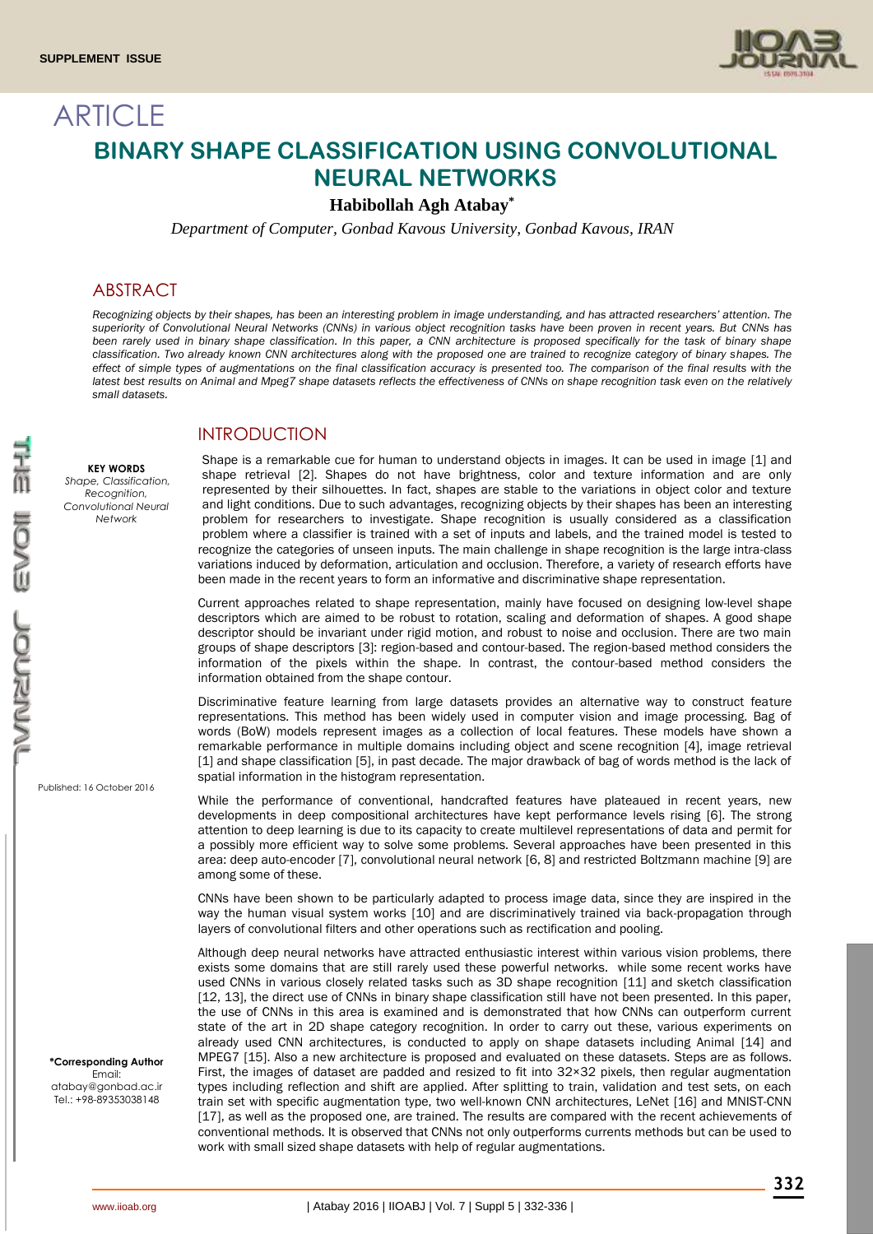

# ARTICLE **BINARY SHAPE CLASSIFICATION USING CONVOLUTIONAL NEURAL NETWORKS**

**Habibollah Agh Atabay\***

*Department of Computer, Gonbad Kavous University, Gonbad Kavous, IRAN*

### ABSTRACT

**KEY WORDS** *Shape, Classification, Recognition, Convolutional Neural Network*

*Recognizing objects by their shapes, has been an interesting problem in image understanding, and has attracted researchers' attention. The superiority of Convolutional Neural Networks (CNNs) in various object recognition tasks have been proven in recent years. But CNNs has been rarely used in binary shape classification. In this paper, a CNN architecture is proposed specifically for the task of binary shape classification. Two already known CNN architectures along with the proposed one are trained to recognize category of binary shapes. The effect of simple types of augmentations on the final classification accuracy is presented too. The comparison of the final results with the latest best results on Animal and Mpeg7 shape datasets reflects the effectiveness of CNNs on shape recognition task even on the relatively small datasets.*

#### INTRODUCTION

Shape is a remarkable cue for human to understand objects in images. It can be used in image [1] and shape retrieval [2]. Shapes do not have brightness, color and texture information and are only represented by their silhouettes. In fact, shapes are stable to the variations in object color and texture and light conditions. Due to such advantages, recognizing objects by their shapes has been an interesting problem for researchers to investigate. Shape recognition is usually considered as a classification problem where a classifier is trained with a set of inputs and labels, and the trained model is tested to recognize the categories of unseen inputs. The main challenge in shape recognition is the large intra-class variations induced by deformation, articulation and occlusion. Therefore, a variety of research efforts have been made in the recent years to form an informative and discriminative shape representation.

Current approaches related to shape representation, mainly have focused on designing low-level shape descriptors which are aimed to be robust to rotation, scaling and deformation of shapes. A good shape descriptor should be invariant under rigid motion, and robust to noise and occlusion. There are two main groups of shape descriptors [3]: region-based and contour-based. The region-based method considers the information of the pixels within the shape. In contrast, the contour-based method considers the information obtained from the shape contour.

Discriminative feature learning from large datasets provides an alternative way to construct feature representations. This method has been widely used in computer vision and image processing. Bag of words (BoW) models represent images as a collection of local features. These models have shown a remarkable performance in multiple domains including object and scene recognition [4], image retrieval [1] and shape classification [5], in past decade. The major drawback of bag of words method is the lack of spatial information in the histogram representation.

While the performance of conventional, handcrafted features have plateaued in recent years, new developments in deep compositional architectures have kept performance levels rising [6]. The strong attention to deep learning is due to its capacity to create multilevel representations of data and permit for a possibly more efficient way to solve some problems. Several approaches have been presented in this area: deep auto-encoder [7], convolutional neural network [6, 8] and restricted Boltzmann machine [9] are among some of these.

CNNs have been shown to be particularly adapted to process image data, since they are inspired in the way the human visual system works [10] and are discriminatively trained via back-propagation through layers of convolutional filters and other operations such as rectification and pooling.

Although deep neural networks have attracted enthusiastic interest within various vision problems, there exists some domains that are still rarely used these powerful networks. while some recent works have used CNNs in various closely related tasks such as 3D shape recognition [11] and sketch classification [12, 13], the direct use of CNNs in binary shape classification still have not been presented. In this paper, the use of CNNs in this area is examined and is demonstrated that how CNNs can outperform current state of the art in 2D shape category recognition. In order to carry out these, various experiments on already used CNN architectures, is conducted to apply on shape datasets including Animal [14] and MPEG7 [15]. Also a new architecture is proposed and evaluated on these datasets. Steps are as follows. First, the images of dataset are padded and resized to fit into 32×32 pixels, then regular augmentation types including reflection and shift are applied. After splitting to train, validation and test sets, on each train set with specific augmentation type, two well-known CNN architectures, LeNet [16] and MNIST-CNN [17], as well as the proposed one, are trained. The results are compared with the recent achievements of conventional methods. It is observed that CNNs not only outperforms currents methods but can be used to work with small sized shape datasets with help of regular augmentations.

Published: 16 October 2016

**\*Corresponding Author** Email: atabay@gonbad.ac.ir Tel.: +98-89353038148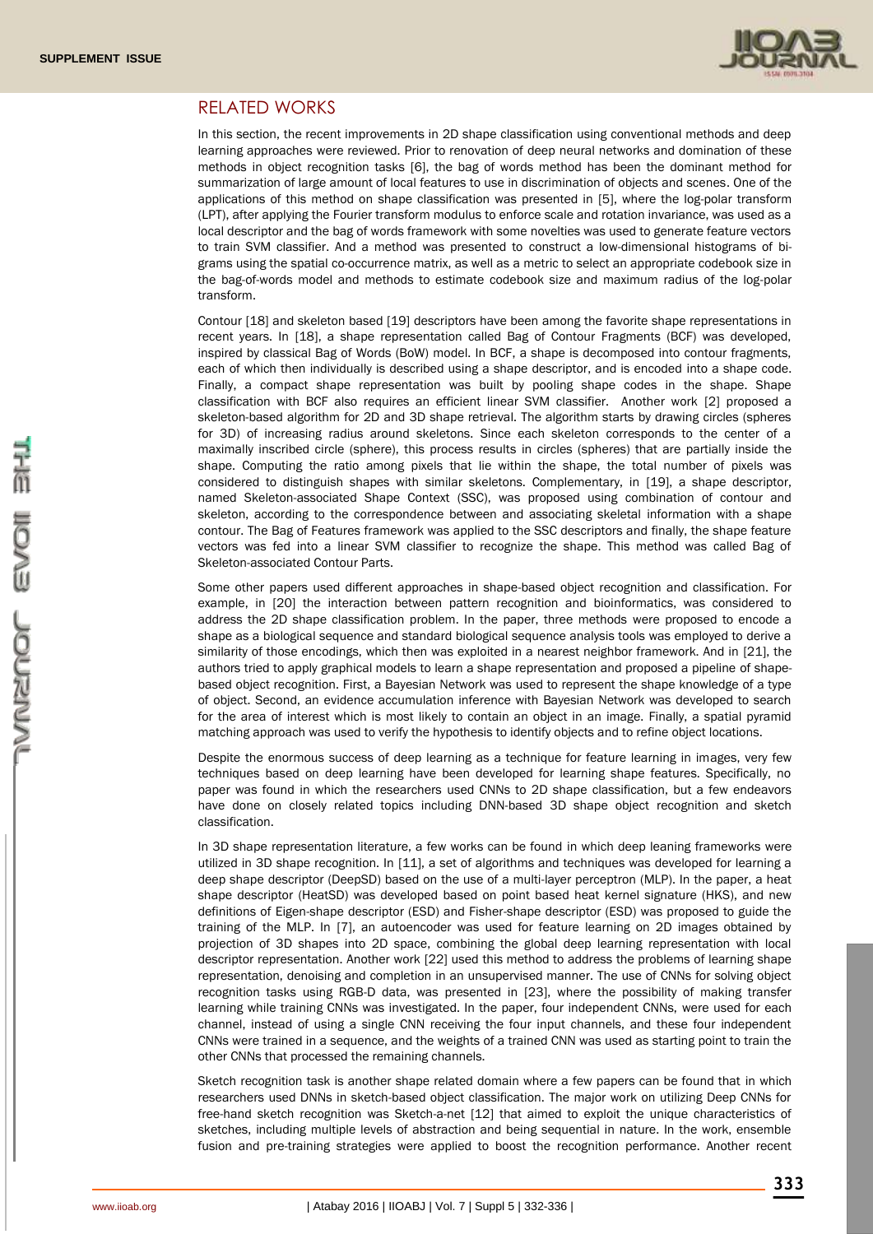

#### RELATED WORKS

In this section, the recent improvements in 2D shape classification using conventional methods and deep learning approaches were reviewed. Prior to renovation of deep neural networks and domination of these methods in object recognition tasks [6], the bag of words method has been the dominant method for summarization of large amount of local features to use in discrimination of objects and scenes. One of the applications of this method on shape classification was presented in [5], where the log-polar transform (LPT), after applying the Fourier transform modulus to enforce scale and rotation invariance, was used as a local descriptor and the bag of words framework with some novelties was used to generate feature vectors to train SVM classifier. And a method was presented to construct a low-dimensional histograms of bigrams using the spatial co-occurrence matrix, as well as a metric to select an appropriate codebook size in the bag-of-words model and methods to estimate codebook size and maximum radius of the log-polar transform.

Contour [18] and skeleton based [19] descriptors have been among the favorite shape representations in recent years. In [18], a shape representation called Bag of Contour Fragments (BCF) was developed, inspired by classical Bag of Words (BoW) model. In BCF, a shape is decomposed into contour fragments, each of which then individually is described using a shape descriptor, and is encoded into a shape code. Finally, a compact shape representation was built by pooling shape codes in the shape. Shape classification with BCF also requires an efficient linear SVM classifier. Another work [2] proposed a skeleton-based algorithm for 2D and 3D shape retrieval. The algorithm starts by drawing circles (spheres for 3D) of increasing radius around skeletons. Since each skeleton corresponds to the center of a maximally inscribed circle (sphere), this process results in circles (spheres) that are partially inside the shape. Computing the ratio among pixels that lie within the shape, the total number of pixels was considered to distinguish shapes with similar skeletons. Complementary, in [19], a shape descriptor, named Skeleton-associated Shape Context (SSC), was proposed using combination of contour and skeleton, according to the correspondence between and associating skeletal information with a shape contour. The Bag of Features framework was applied to the SSC descriptors and finally, the shape feature vectors was fed into a linear SVM classifier to recognize the shape. This method was called Bag of Skeleton-associated Contour Parts.

Some other papers used different approaches in shape-based object recognition and classification. For example, in [20] the interaction between pattern recognition and bioinformatics, was considered to address the 2D shape classification problem. In the paper, three methods were proposed to encode a shape as a biological sequence and standard biological sequence analysis tools was employed to derive a similarity of those encodings, which then was exploited in a nearest neighbor framework. And in [21], the authors tried to apply graphical models to learn a shape representation and proposed a pipeline of shapebased object recognition. First, a Bayesian Network was used to represent the shape knowledge of a type of object. Second, an evidence accumulation inference with Bayesian Network was developed to search for the area of interest which is most likely to contain an object in an image. Finally, a spatial pyramid matching approach was used to verify the hypothesis to identify objects and to refine object locations.

Despite the enormous success of deep learning as a technique for feature learning in images, very few techniques based on deep learning have been developed for learning shape features. Specifically, no paper was found in which the researchers used CNNs to 2D shape classification, but a few endeavors have done on closely related topics including DNN-based 3D shape object recognition and sketch classification.

In 3D shape representation literature, a few works can be found in which deep leaning frameworks were utilized in 3D shape recognition. In [11], a set of algorithms and techniques was developed for learning a deep shape descriptor (DeepSD) based on the use of a multi-layer perceptron (MLP). In the paper, a heat shape descriptor (HeatSD) was developed based on point based heat kernel signature (HKS), and new definitions of Eigen-shape descriptor (ESD) and Fisher-shape descriptor (ESD) was proposed to guide the training of the MLP. In [7], an autoencoder was used for feature learning on 2D images obtained by projection of 3D shapes into 2D space, combining the global deep learning representation with local descriptor representation. Another work [22] used this method to address the problems of learning shape representation, denoising and completion in an unsupervised manner. The use of CNNs for solving object recognition tasks using RGB-D data, was presented in [23], where the possibility of making transfer learning while training CNNs was investigated. In the paper, four independent CNNs, were used for each channel, instead of using a single CNN receiving the four input channels, and these four independent CNNs were trained in a sequence, and the weights of a trained CNN was used as starting point to train the other CNNs that processed the remaining channels.

Sketch recognition task is another shape related domain where a few papers can be found that in which researchers used DNNs in sketch-based object classification. The major work on utilizing Deep CNNs for free-hand sketch recognition was Sketch-a-net [12] that aimed to exploit the unique characteristics of sketches, including multiple levels of abstraction and being sequential in nature. In the work, ensemble fusion and pre-training strategies were applied to boost the recognition performance. Another recent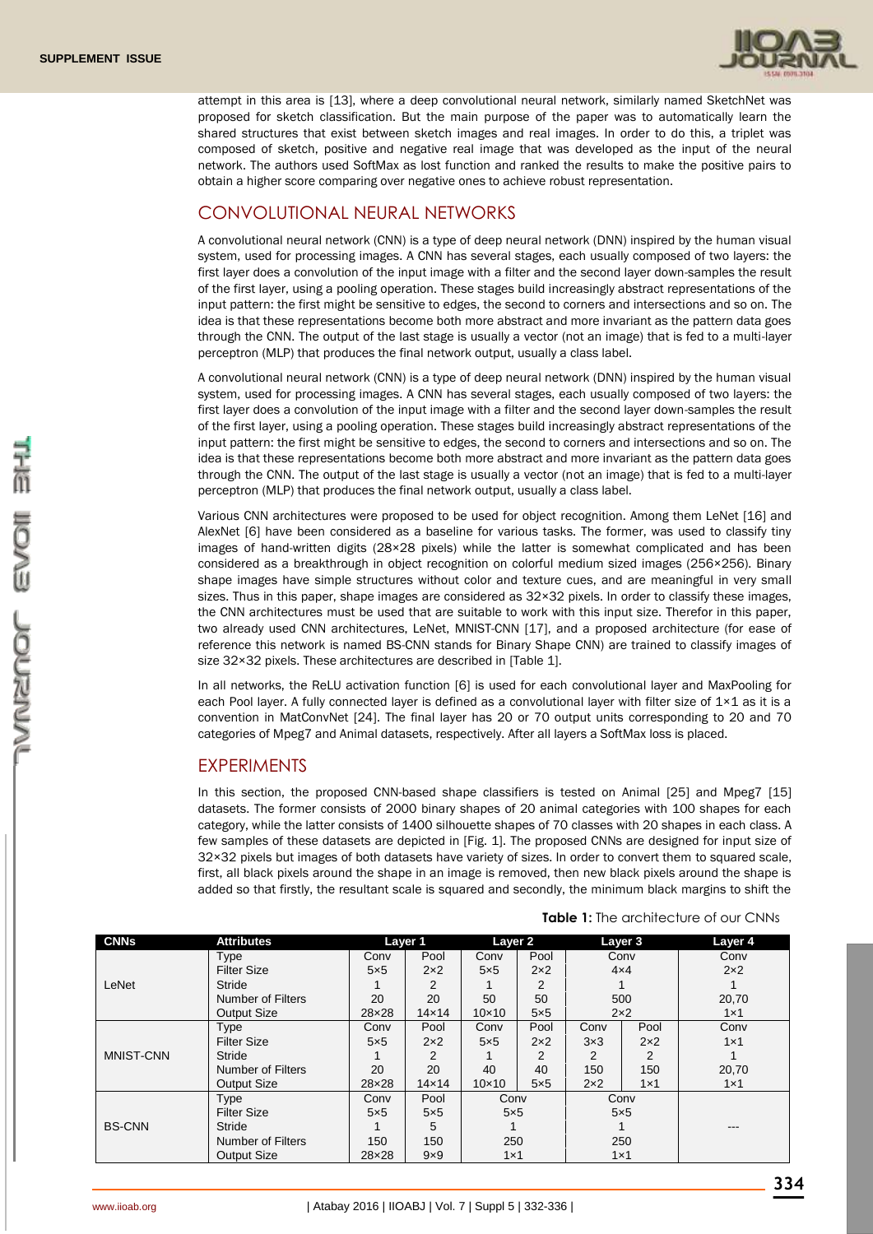

attempt in this area is [13], where a deep convolutional neural network, similarly named SketchNet was proposed for sketch classification. But the main purpose of the paper was to automatically learn the shared structures that exist between sketch images and real images. In order to do this, a triplet was composed of sketch, positive and negative real image that was developed as the input of the neural network. The authors used SoftMax as lost function and ranked the results to make the positive pairs to obtain a higher score comparing over negative ones to achieve robust representation.

# CONVOLUTIONAL NEURAL NETWORKS

A convolutional neural network (CNN) is a type of deep neural network (DNN) inspired by the human visual system, used for processing images. A CNN has several stages, each usually composed of two layers: the first layer does a convolution of the input image with a filter and the second layer down-samples the result of the first layer, using a pooling operation. These stages build increasingly abstract representations of the input pattern: the first might be sensitive to edges, the second to corners and intersections and so on. The idea is that these representations become both more abstract and more invariant as the pattern data goes through the CNN. The output of the last stage is usually a vector (not an image) that is fed to a multi-layer perceptron (MLP) that produces the final network output, usually a class label.

A convolutional neural network (CNN) is a type of deep neural network (DNN) inspired by the human visual system, used for processing images. A CNN has several stages, each usually composed of two layers: the first layer does a convolution of the input image with a filter and the second layer down-samples the result of the first layer, using a pooling operation. These stages build increasingly abstract representations of the input pattern: the first might be sensitive to edges, the second to corners and intersections and so on. The idea is that these representations become both more abstract and more invariant as the pattern data goes through the CNN. The output of the last stage is usually a vector (not an image) that is fed to a multi-layer perceptron (MLP) that produces the final network output, usually a class label.

Various CNN architectures were proposed to be used for object recognition. Among them LeNet [16] and AlexNet [6] have been considered as a baseline for various tasks. The former, was used to classify tiny images of hand-written digits (28×28 pixels) while the latter is somewhat complicated and has been considered as a breakthrough in object recognition on colorful medium sized images (256×256). Binary shape images have simple structures without color and texture cues, and are meaningful in very small sizes. Thus in this paper, shape images are considered as  $32\times32$  pixels. In order to classify these images, the CNN architectures must be used that are suitable to work with this input size. Therefor in this paper, two already used CNN architectures, LeNet, MNIST-CNN [17], and a proposed architecture (for ease of reference this network is named BS-CNN stands for Binary Shape CNN) are trained to classify images of size 32×32 pixels. These architectures are described in [Table 1].

In all networks, the ReLU activation function [6] is used for each convolutional layer and MaxPooling for each Pool layer. A fully connected layer is defined as a convolutional layer with filter size of  $1\times1$  as it is a convention in MatConvNet [24]. The final layer has 20 or 70 output units corresponding to 20 and 70 categories of Mpeg7 and Animal datasets, respectively. After all layers a SoftMax loss is placed.

## **EXPERIMENTS**

In this section, the proposed CNN-based shape classifiers is tested on Animal [25] and Mpeg7 [15] datasets. The former consists of 2000 binary shapes of 20 animal categories with 100 shapes for each category, while the latter consists of 1400 silhouette shapes of 70 classes with 20 shapes in each class. A few samples of these datasets are depicted in [Fig. 1]. The proposed CNNs are designed for input size of 32×32 pixels but images of both datasets have variety of sizes. In order to convert them to squared scale, first, all black pixels around the shape in an image is removed, then new black pixels around the shape is added so that firstly, the resultant scale is squared and secondly, the minimum black margins to shift the

| <b>CNNs</b>   | <b>Attributes</b>        | Layer 1    |              | Layer 2       |             | Layer 3    |            | Layer 4    |
|---------------|--------------------------|------------|--------------|---------------|-------------|------------|------------|------------|
|               | Type                     | Conv       | Pool         | Conv          | Pool        | Conv       |            | Conv       |
| LeNet         | <b>Filter Size</b>       | $5\times5$ | $2\times2$   | $5\times5$    | $2\times2$  | $4\times4$ |            | $2\times2$ |
|               | Stride                   |            | 2            |               | 2           |            |            |            |
|               | <b>Number of Filters</b> | 20         | 20           | 50            | 50          | 500        |            | 20,70      |
|               | <b>Output Size</b>       | 28×28      | $14\times14$ | $10\times 10$ | $5\times 5$ | $2\times2$ |            | $1\times1$ |
| MNIST-CNN     | Type                     | Conv       | Pool         | Conv          | Pool        | Conv       | Pool       | Conv       |
|               | <b>Filter Size</b>       | $5\times5$ | $2\times2$   | $5\times5$    | $2\times2$  | $3\times3$ | $2\times2$ | $1\times1$ |
|               | Stride                   |            | 2            |               | 2           | 2          | 2          |            |
|               | Number of Filters        | 20         | 20           | 40            | 40          | 150        | 150        | 20,70      |
|               | <b>Output Size</b>       | 28×28      | $14\times14$ | $10\times 10$ | $5\times 5$ | $2\times2$ | $1\times1$ | $1\times1$ |
|               | Type                     | Conv       | Pool         | Conv          |             | Conv       |            |            |
| <b>BS-CNN</b> | <b>Filter Size</b>       | 5x5        | $5\times5$   | $5\times5$    |             | $5\times5$ |            |            |
|               | Stride                   |            | 5            |               |             |            |            | ---        |
|               | <b>Number of Filters</b> | 150        | 150          | 250           |             | 250        |            |            |
|               | <b>Output Size</b>       | 28×28      | $9\times9$   | $1\times1$    |             | $1\times1$ |            |            |

**Table 1:** The architecture of our CNNs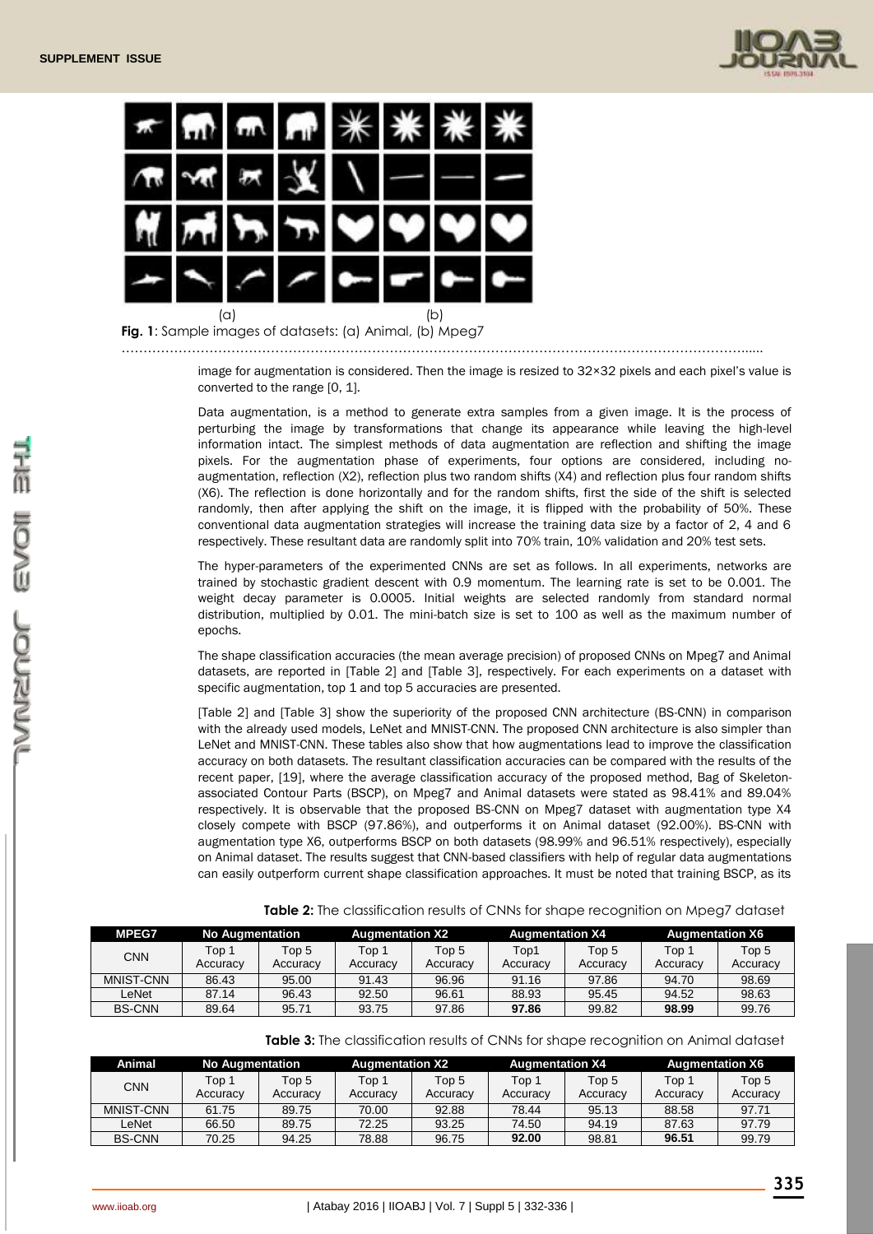



**Fig. 1**: Sample images of datasets: (a) Animal, (b) Mpeg7

……………………………………………………………………………………………………………………………......

image for augmentation is considered. Then the image is resized to 32×32 pixels and each pixel's value is converted to the range [0, 1].

Data augmentation, is a method to generate extra samples from a given image. It is the process of perturbing the image by transformations that change its appearance while leaving the high-level information intact. The simplest methods of data augmentation are reflection and shifting the image pixels. For the augmentation phase of experiments, four options are considered, including noaugmentation, reflection (X2), reflection plus two random shifts (X4) and reflection plus four random shifts (X6). The reflection is done horizontally and for the random shifts, first the side of the shift is selected randomly, then after applying the shift on the image, it is flipped with the probability of 50%. These conventional data augmentation strategies will increase the training data size by a factor of 2, 4 and 6 respectively. These resultant data are randomly split into 70% train, 10% validation and 20% test sets.

The hyper-parameters of the experimented CNNs are set as follows. In all experiments, networks are trained by stochastic gradient descent with 0.9 momentum. The learning rate is set to be 0.001. The weight decay parameter is 0.0005. Initial weights are selected randomly from standard normal distribution, multiplied by 0.01. The mini-batch size is set to 100 as well as the maximum number of epochs.

The shape classification accuracies (the mean average precision) of proposed CNNs on Mpeg7 and Animal datasets, are reported in [Table 2] and [Table 3], respectively. For each experiments on a dataset with specific augmentation, top 1 and top 5 accuracies are presented.

[Table 2] and [Table 3] show the superiority of the proposed CNN architecture (BS-CNN) in comparison with the already used models, LeNet and MNIST-CNN. The proposed CNN architecture is also simpler than LeNet and MNIST-CNN. These tables also show that how augmentations lead to improve the classification accuracy on both datasets. The resultant classification accuracies can be compared with the results of the recent paper, [19], where the average classification accuracy of the proposed method, Bag of Skeletonassociated Contour Parts (BSCP), on Mpeg7 and Animal datasets were stated as 98.41% and 89.04% respectively. It is observable that the proposed BS-CNN on Mpeg7 dataset with augmentation type X4 closely compete with BSCP (97.86%), and outperforms it on Animal dataset (92.00%). BS-CNN with augmentation type X6, outperforms BSCP on both datasets (98.99% and 96.51% respectively), especially on Animal dataset. The results suggest that CNN-based classifiers with help of regular data augmentations can easily outperform current shape classification approaches. It must be noted that training BSCP, as its

| <b>MPEG7</b>  | <b>No Augmentation</b> |                   | <b>Augmentation X2</b> |                   | <b>Augmentation X4</b> |                   | <b>Augmentation X6</b> |                   |
|---------------|------------------------|-------------------|------------------------|-------------------|------------------------|-------------------|------------------------|-------------------|
| CNN           | Top 1<br>Accuracv      | Top 5<br>Accuracy | Top 1<br>Accuracy      | Top 5<br>Accuracy | Top1<br>Accuracy       | Top 5<br>Accuracy | Top 1<br>Accuracy      | Top 5<br>Accuracy |
| MNIST-CNN     | 86.43                  | 95.00             | 91.43                  | 96.96             | 91.16                  | 97.86             | 94.70                  | 98.69             |
| LeNet         | 87.14                  | 96.43             | 92.50                  | 96.61             | 88.93                  | 95.45             | 94.52                  | 98.63             |
| <b>BS-CNN</b> | 89.64                  | 95.71             | 93.75                  | 97.86             | 97.86                  | 99.82             | 98.99                  | 99.76             |

**Table 2:** The classification results of CNNs for shape recognition on Mpeg7 dataset

**Table 3:** The classification results of CNNs for shape recognition on Animal dataset

| Animal        |                   | <b>No Augmentation</b> |                   | <b>Augmentation X2</b> |                   | <b>Augmentation X4</b> |                   | <b>Augmentation X6</b> |  |
|---------------|-------------------|------------------------|-------------------|------------------------|-------------------|------------------------|-------------------|------------------------|--|
| <b>CNN</b>    | Top 1<br>Accuracy | Top 5<br>Accuracy      | Top 1<br>Accuracy | Top 5<br>Accuracy      | Top 1<br>Accuracy | Top 5<br>Accuracy      | Top 1<br>Accuracy | Top 5<br>Accuracy      |  |
| MNIST-CNN     | 61.75             | 89.75                  | 70.00             | 92.88                  | 78.44             | 95.13                  | 88.58             | 97.71                  |  |
| LeNet         | 66.50             | 89.75                  | 72.25             | 93.25                  | 74.50             | 94.19                  | 87.63             | 97.79                  |  |
| <b>BS-CNN</b> | 70.25             | 94.25                  | 78.88             | 96.75                  | 92.00             | 98.81                  | 96.51             | 99.79                  |  |